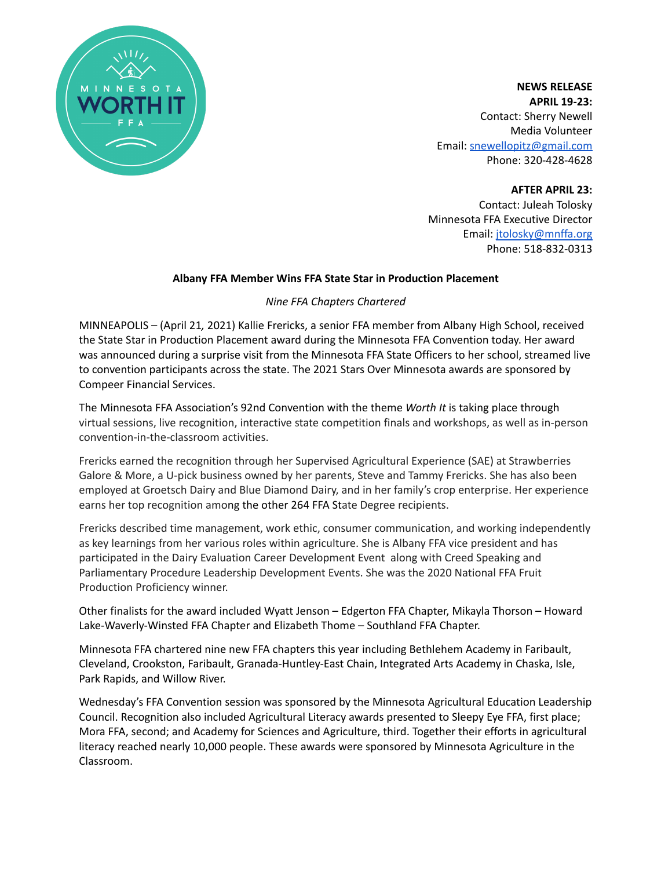

**NEWS RELEASE APRIL 19-23:** Contact: Sherry Newell Media Volunteer Email: [snewellopitz@gmail.com](mailto:snewellopitz@gmail.com) Phone: 320-428-4628

**AFTER APRIL 23:** Contact: Juleah Tolosky Minnesota FFA Executive Director Email: [jtolosky@mnffa.org](mailto:jtolosky@mnffa.org) Phone: 518-832-0313

# **Albany FFA Member Wins FFA State Star in Production Placement**

## *Nine FFA Chapters Chartered*

MINNEAPOLIS – (April 21*,* 2021) Kallie Frericks, a senior FFA member from Albany High School, received the State Star in Production Placement award during the Minnesota FFA Convention today. Her award was announced during a surprise visit from the Minnesota FFA State Officers to her school, streamed live to convention participants across the state. The 2021 Stars Over Minnesota awards are sponsored by Compeer Financial Services.

The Minnesota FFA Association's 92nd Convention with the theme *Worth It* is taking place through virtual sessions, live recognition, interactive state competition finals and workshops, as well as in-person convention-in-the-classroom activities.

Frericks earned the recognition through her Supervised Agricultural Experience (SAE) at Strawberries Galore & More, a U-pick business owned by her parents, Steve and Tammy Frericks. She has also been employed at Groetsch Dairy and Blue Diamond Dairy, and in her family's crop enterprise. Her experience earns her top recognition among the other 264 FFA State Degree recipients.

Frericks described time management, work ethic, consumer communication, and working independently as key learnings from her various roles within agriculture. She is Albany FFA vice president and has participated in the Dairy Evaluation Career Development Event along with Creed Speaking and Parliamentary Procedure Leadership Development Events. She was the 2020 National FFA Fruit Production Proficiency winner.

Other finalists for the award included Wyatt Jenson – Edgerton FFA Chapter, Mikayla Thorson – Howard Lake-Waverly-Winsted FFA Chapter and Elizabeth Thome – Southland FFA Chapter.

Minnesota FFA chartered nine new FFA chapters this year including Bethlehem Academy in Faribault, Cleveland, Crookston, Faribault, Granada-Huntley-East Chain, Integrated Arts Academy in Chaska, Isle, Park Rapids, and Willow River.

Wednesday's FFA Convention session was sponsored by the Minnesota Agricultural Education Leadership Council. Recognition also included Agricultural Literacy awards presented to Sleepy Eye FFA, first place; Mora FFA, second; and Academy for Sciences and Agriculture, third. Together their efforts in agricultural literacy reached nearly 10,000 people. These awards were sponsored by Minnesota Agriculture in the Classroom.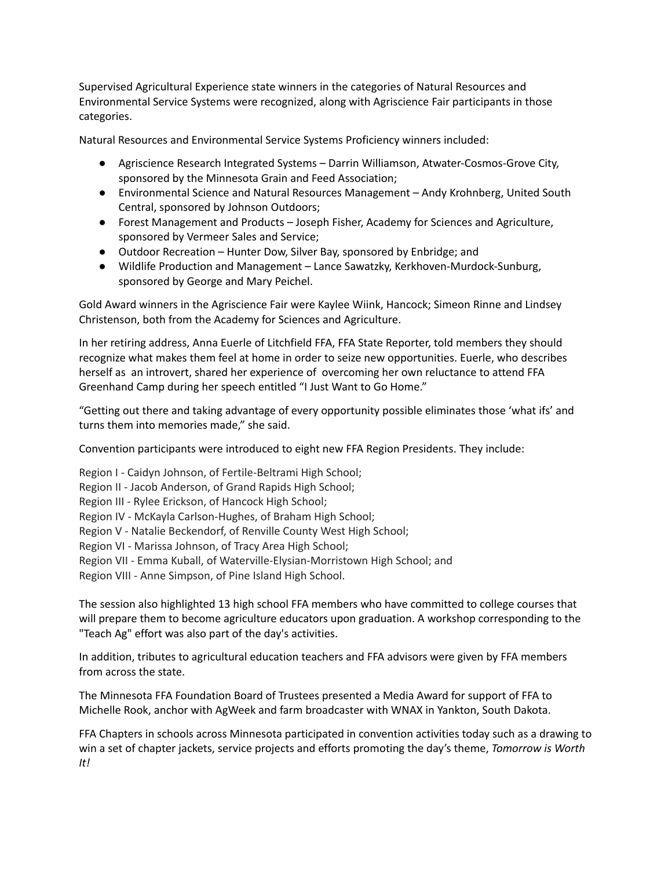Supervised Agricultural Experience state winners in the categories of Natural Resources and Environmental Service Systems were recognized, along with Agriscience Fair participants in those categories.

Natural Resources and Environmental Service Systems Proficiency winners included:

- Agriscience Research Integrated Systems Darrin Williamson, Atwater-Cosmos-Grove City, sponsored by the Minnesota Grain and Feed Association;
- Environmental Science and Natural Resources Management Andy Krohnberg, United South Central, sponsored by Johnson Outdoors;
- Forest Management and Products Joseph Fisher, Academy for Sciences and Agriculture, sponsored by Vermeer Sales and Service;
- Outdoor Recreation Hunter Dow, Silver Bay, sponsored by Enbridge; and
- Wildlife Production and Management Lance Sawatzky, Kerkhoven-Murdock-Sunburg, sponsored by George and Mary Peichel.

Gold Award winners in the Agriscience Fair were Kaylee Wiink, Hancock; Simeon Rinne and Lindsey Christenson, both from the Academy for Sciences and Agriculture.

In her retiring address, Anna Euerle of Litchfield FFA, FFA State Reporter, told members they should recognize what makes them feel at home in order to seize new opportunities. Euerle, who describes herself as an introvert, shared her experience of overcoming her own reluctance to attend FFA Greenhand Camp during her speech entitled "I Just Want to Go Home."

"Getting out there and taking advantage of every opportunity possible eliminates those 'what ifs' and turns them into memories made," she said.

Convention participants were introduced to eight new FFA Region Presidents. They include:

Region I - Caidyn Johnson, of Fertile-Beltrami High School;

Region II - Jacob Anderson, of Grand Rapids High School;

Region III - Rylee Erickson, of Hancock High School;

- Region IV McKayla Carlson-Hughes, of Braham High School;
- Region V Natalie Beckendorf, of Renville County West High School;

Region VI - Marissa Johnson, of Tracy Area High School;

Region VII - Emma Kuball, of Waterville-Elysian-Morristown High School; and

Region VIII - Anne Simpson, of Pine Island High School.

The session also highlighted 13 high school FFA members who have committed to college courses that will prepare them to become agriculture educators upon graduation. A workshop corresponding to the "Teach Ag" effort was also part of the day's activities.

In addition, tributes to agricultural education teachers and FFA advisors were given by FFA members from across the state.

The Minnesota FFA Foundation Board of Trustees presented a Media Award for support of FFA to Michelle Rook, anchor with AgWeek and farm broadcaster with WNAX in Yankton, South Dakota.

FFA Chapters in schools across Minnesota participated in convention activities today such as a drawing to win a set of chapter jackets, service projects and efforts promoting the day's theme, *Tomorrow is Worth It!*